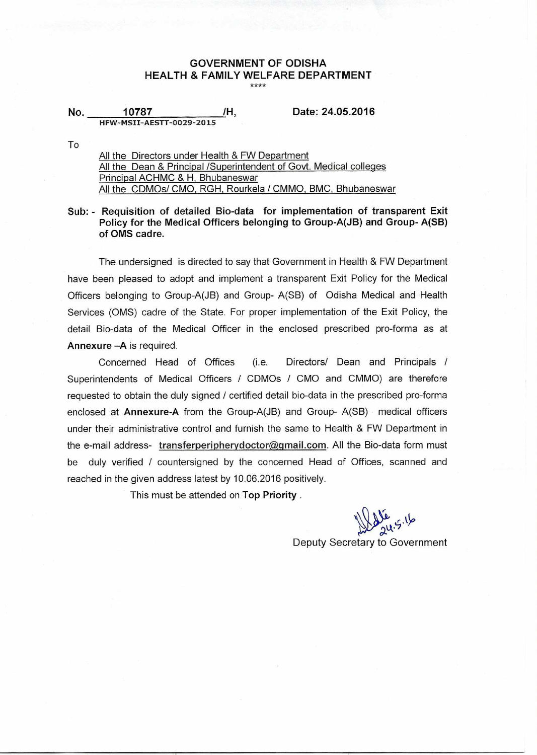# **GOVERNMENT OF ODISHA HEALTH & FAMILY WELFARE DEPARTMENT**

**No. 10787 /H, Date: 24.05.2016 HFW-MSII-AESTT-0029-2015** 

To

All the Directors under Health & FW Department All the Dean & Principal /Superintendent of Govt. Medical colleges Principal ACHMC & H, Bhubaneswar All the CDMOs/ CMO, RGH, Rourkela / CMMO, BMC, Bhubaneswar

**Sub: - Requisition of detailed Bio-data for implementation of transparent Exit Policy for the Medical Officers belonging to Group-A(JB) and Group- A(SB) of OMS cadre.** 

The undersigned is directed to say that Government in Health & FW Department have been pleased to adopt and implement a transparent Exit Policy for the Medical Officers belonging to Group-A(JB) and Group- A(SB) of Odisha Medical and Health Services (OMS) cadre of the State. For proper implementation of the Exit Policy, the detail Bio-data of the Medical Officer in the enclosed prescribed pro-forma as at **Annexure —A** is required.

Concerned Head of Offices (i.e. Directors/ Dean and Principals / Superintendents of Medical Officers / CDMOs / CMO and CMMO) are therefore requested to obtain the duly signed / certified detail bio-data in the prescribed pro-forma enclosed at **Annexure-A** from the Group-A(JB) and Group- A(SB) medical officers under their administrative control and furnish the same to Health & FW Department in the e-mail address- transferperipherydoctor@gmail.com. All the Bio-data form must be duly verified / countersigned by the concerned Head of Offices, scanned and reached in the given address latest by 10.06.2016 positively.

This must be attended on **Top Priority .** 

<u>حرابی</u>  $24.$ 

Deputy Secretary to Government